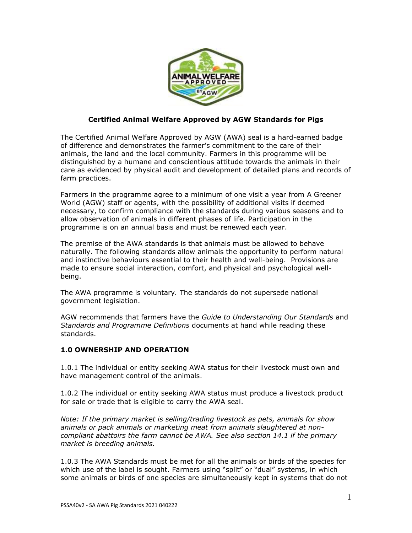

## **Certified Animal Welfare Approved by AGW Standards for Pigs**

The Certified Animal Welfare Approved by AGW (AWA) seal is a hard-earned badge of difference and demonstrates the farmer's commitment to the care of their animals, the land and the local community. Farmers in this programme will be distinguished by a humane and conscientious attitude towards the animals in their care as evidenced by physical audit and development of detailed plans and records of farm practices.

Farmers in the programme agree to a minimum of one visit a year from A Greener World (AGW) staff or agents, with the possibility of additional visits if deemed necessary, to confirm compliance with the standards during various seasons and to allow observation of animals in different phases of life. Participation in the programme is on an annual basis and must be renewed each year.

The premise of the AWA standards is that animals must be allowed to behave naturally. The following standards allow animals the opportunity to perform natural and instinctive behaviours essential to their health and well-being. Provisions are made to ensure social interaction, comfort, and physical and psychological wellbeing.

The AWA programme is voluntary*.* The standards do not supersede national government legislation.

AGW recommends that farmers have the *Guide to Understanding Our Standards* and *Standards and Programme Definitions* documents at hand while reading these standards.

# **1.0 OWNERSHIP AND OPERATION**

1.0.1 The individual or entity seeking AWA status for their livestock must own and have management control of the animals.

1.0.2 The individual or entity seeking AWA status must produce a livestock product for sale or trade that is eligible to carry the AWA seal.

*Note: If the primary market is selling/trading livestock as pets, animals for show animals or pack animals or marketing meat from animals slaughtered at noncompliant abattoirs the farm cannot be AWA. See also section 14.1 if the primary market is breeding animals.*

1.0.3 The AWA Standards must be met for all the animals or birds of the species for which use of the label is sought. Farmers using "split" or "dual" systems, in which some animals or birds of one species are simultaneously kept in systems that do not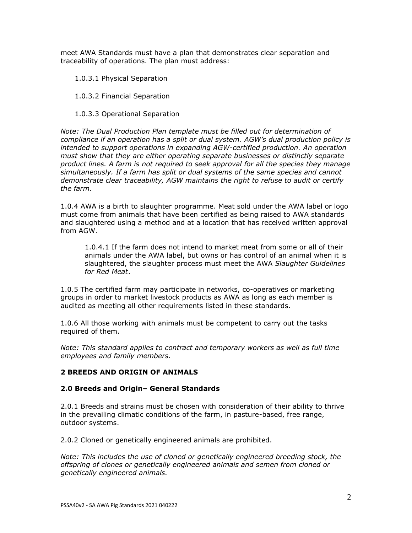meet AWA Standards must have a plan that demonstrates clear separation and traceability of operations. The plan must address:

1.0.3.1 Physical Separation

1.0.3.2 Financial Separation

1.0.3.3 Operational Separation

*Note: The Dual Production Plan template must be filled out for determination of compliance if an operation has a split or dual system. AGW's dual production policy is intended to support operations in expanding AGW-certified production. An operation must show that they are either operating separate businesses or distinctly separate product lines. A farm is not required to seek approval for all the species they manage simultaneously. If a farm has split or dual systems of the same species and cannot demonstrate clear traceability, AGW maintains the right to refuse to audit or certify the farm.*

1.0.4 AWA is a birth to slaughter programme. Meat sold under the AWA label or logo must come from animals that have been certified as being raised to AWA standards and slaughtered using a method and at a location that has received written approval from AGW.

1.0.4.1 If the farm does not intend to market meat from some or all of their animals under the AWA label, but owns or has control of an animal when it is slaughtered, the slaughter process must meet the AWA *Slaughter Guidelines for Red Meat*.

1.0.5 The certified farm may participate in networks, co-operatives or marketing groups in order to market livestock products as AWA as long as each member is audited as meeting all other requirements listed in these standards.

1.0.6 All those working with animals must be competent to carry out the tasks required of them.

*Note: This standard applies to contract and temporary workers as well as full time employees and family members.*

# **2 BREEDS AND ORIGIN OF ANIMALS**

### **2.0 Breeds and Origin– General Standards**

2.0.1 Breeds and strains must be chosen with consideration of their ability to thrive in the prevailing climatic conditions of the farm, in pasture-based, free range, outdoor systems.

2.0.2 Cloned or genetically engineered animals are prohibited.

*Note: This includes the use of cloned or genetically engineered breeding stock, the offspring of clones or genetically engineered animals and semen from cloned or genetically engineered animals.*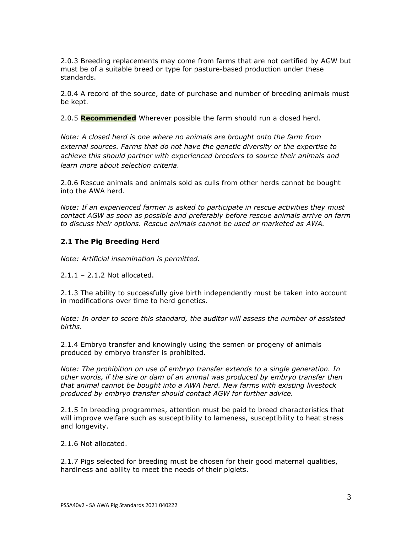2.0.3 Breeding replacements may come from farms that are not certified by AGW but must be of a suitable breed or type for pasture-based production under these standards.

2.0.4 A record of the source, date of purchase and number of breeding animals must be kept.

2.0.5 **Recommended** Wherever possible the farm should run a closed herd.

*Note: A closed herd is one where no animals are brought onto the farm from external sources. Farms that do not have the genetic diversity or the expertise to achieve this should partner with experienced breeders to source their animals and learn more about selection criteria.* 

2.0.6 Rescue animals and animals sold as culls from other herds cannot be bought into the AWA herd.

*Note: If an experienced farmer is asked to participate in rescue activities they must contact AGW as soon as possible and preferably before rescue animals arrive on farm to discuss their options. Rescue animals cannot be used or marketed as AWA.* 

## **2.1 The Pig Breeding Herd**

*Note: Artificial insemination is permitted.*

2.1.1 – 2.1.2 Not allocated.

2.1.3 The ability to successfully give birth independently must be taken into account in modifications over time to herd genetics.

*Note: In order to score this standard, the auditor will assess the number of assisted births.*

2.1.4 Embryo transfer and knowingly using the semen or progeny of animals produced by embryo transfer is prohibited.

*Note: The prohibition on use of embryo transfer extends to a single generation. In other words, if the sire or dam of an animal was produced by embryo transfer then that animal cannot be bought into a AWA herd. New farms with existing livestock produced by embryo transfer should contact AGW for further advice.* 

2.1.5 In breeding programmes, attention must be paid to breed characteristics that will improve welfare such as susceptibility to lameness, susceptibility to heat stress and longevity.

2.1.6 Not allocated.

2.1.7 Pigs selected for breeding must be chosen for their good maternal qualities, hardiness and ability to meet the needs of their piglets.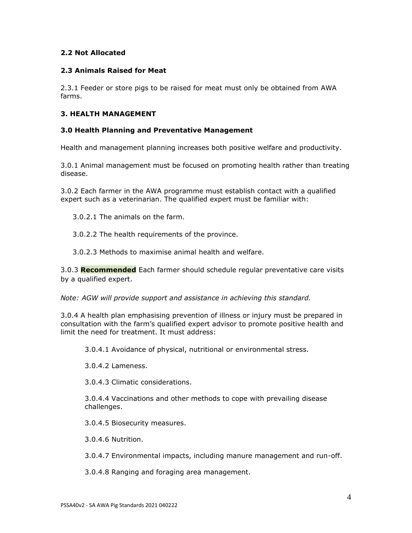## **2.2 Not Allocated**

## **2.3 Animals Raised for Meat**

2.3.1 Feeder or store pigs to be raised for meat must only be obtained from AWA farms.

## **3. HEALTH MANAGEMENT**

### **3.0 Health Planning and Preventative Management**

Health and management planning increases both positive welfare and productivity.

3.0.1 Animal management must be focused on promoting health rather than treating disease.

3.0.2 Each farmer in the AWA programme must establish contact with a qualified expert such as a veterinarian. The qualified expert must be familiar with:

3.0.2.1 The animals on the farm.

3.0.2.2 The health requirements of the province.

3.0.2.3 Methods to maximise animal health and welfare.

3.0.3 **Recommended** Each farmer should schedule regular preventative care visits by a qualified expert.

*Note: AGW will provide support and assistance in achieving this standard.* 

3.0.4 A health plan emphasising prevention of illness or injury must be prepared in consultation with the farm's qualified expert advisor to promote positive health and limit the need for treatment. It must address:

3.0.4.1 Avoidance of physical, nutritional or environmental stress.

3.0.4.2 Lameness.

3.0.4.3 Climatic considerations.

3.0.4.4 Vaccinations and other methods to cope with prevailing disease challenges.

3.0.4.5 Biosecurity measures.

3.0.4.6 Nutrition.

3.0.4.7 Environmental impacts, including manure management and run-off.

3.0.4.8 Ranging and foraging area management.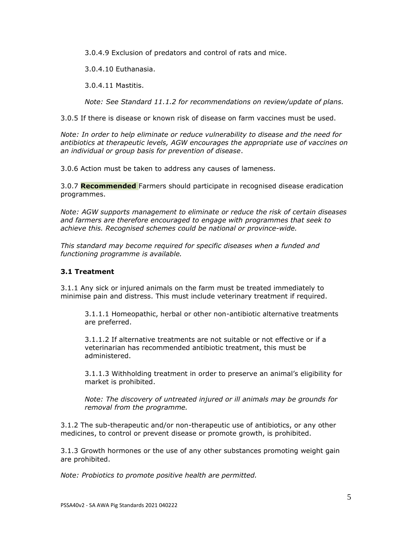3.0.4.9 Exclusion of predators and control of rats and mice.

3.0.4.10 Euthanasia.

3.0.4.11 Mastitis.

*Note: See Standard 11.1.2 for recommendations on review/update of plans.*

3.0.5 If there is disease or known risk of disease on farm vaccines must be used.

*Note: In order to help eliminate or reduce vulnerability to disease and the need for antibiotics at therapeutic levels, AGW encourages the appropriate use of vaccines on an individual or group basis for prevention of disease*.

3.0.6 Action must be taken to address any causes of lameness.

3.0.7 **Recommended** Farmers should participate in recognised disease eradication programmes.

*Note: AGW supports management to eliminate or reduce the risk of certain diseases and farmers are therefore encouraged to engage with programmes that seek to achieve this. Recognised schemes could be national or province-wide.*

*This standard may become required for specific diseases when a funded and functioning programme is available.*

# **3.1 Treatment**

3.1.1 Any sick or injured animals on the farm must be treated immediately to minimise pain and distress. This must include veterinary treatment if required.

3.1.1.1 Homeopathic, herbal or other non-antibiotic alternative treatments are preferred.

3.1.1.2 If alternative treatments are not suitable or not effective or if a veterinarian has recommended antibiotic treatment, this must be administered.

3.1.1.3 Withholding treatment in order to preserve an animal's eligibility for market is prohibited.

*Note: The discovery of untreated injured or ill animals may be grounds for removal from the programme.*

3.1.2 The sub-therapeutic and/or non-therapeutic use of antibiotics, or any other medicines, to control or prevent disease or promote growth, is prohibited.

3.1.3 Growth hormones or the use of any other substances promoting weight gain are prohibited.

*Note: Probiotics to promote positive health are permitted.*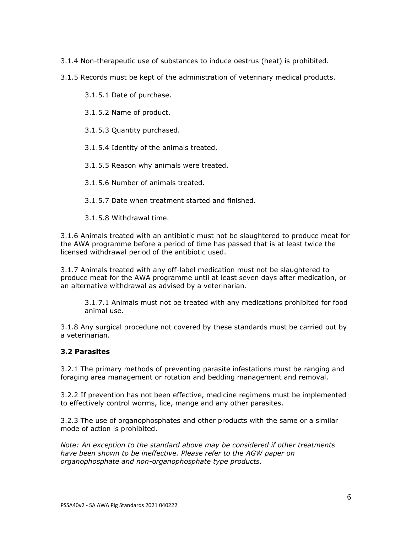3.1.4 Non-therapeutic use of substances to induce oestrus (heat) is prohibited.

3.1.5 Records must be kept of the administration of veterinary medical products.

3.1.5.1 Date of purchase.

3.1.5.2 Name of product.

3.1.5.3 Quantity purchased.

3.1.5.4 Identity of the animals treated.

3.1.5.5 Reason why animals were treated.

3.1.5.6 Number of animals treated.

3.1.5.7 Date when treatment started and finished.

3.1.5.8 Withdrawal time.

3.1.6 Animals treated with an antibiotic must not be slaughtered to produce meat for the AWA programme before a period of time has passed that is at least twice the licensed withdrawal period of the antibiotic used.

3.1.7 Animals treated with any off-label medication must not be slaughtered to produce meat for the AWA programme until at least seven days after medication, or an alternative withdrawal as advised by a veterinarian.

3.1.7.1 Animals must not be treated with any medications prohibited for food animal use.

3.1.8 Any surgical procedure not covered by these standards must be carried out by a veterinarian.

### **3.2 Parasites**

3.2.1 The primary methods of preventing parasite infestations must be ranging and foraging area management or rotation and bedding management and removal.

3.2.2 If prevention has not been effective, medicine regimens must be implemented to effectively control worms, lice, mange and any other parasites.

3.2.3 The use of organophosphates and other products with the same or a similar mode of action is prohibited.

*Note: An exception to the standard above may be considered if other treatments have been shown to be ineffective. Please refer to the AGW paper on organophosphate and non-organophosphate type products.*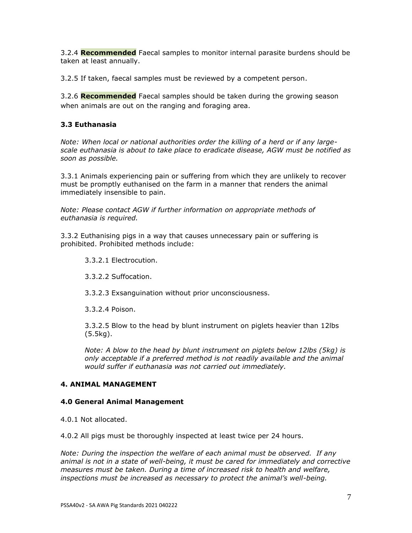3.2.4 **Recommended** Faecal samples to monitor internal parasite burdens should be taken at least annually.

3.2.5 If taken, faecal samples must be reviewed by a competent person.

3.2.6 **Recommended** Faecal samples should be taken during the growing season when animals are out on the ranging and foraging area.

# **3.3 Euthanasia**

*Note: When local or national authorities order the killing of a herd or if any largescale euthanasia is about to take place to eradicate disease, AGW must be notified as soon as possible.*

3.3.1 Animals experiencing pain or suffering from which they are unlikely to recover must be promptly euthanised on the farm in a manner that renders the animal immediately insensible to pain.

*Note: Please contact AGW if further information on appropriate methods of euthanasia is required.*

3.3.2 Euthanising pigs in a way that causes unnecessary pain or suffering is prohibited. Prohibited methods include:

3.3.2.1 Electrocution.

3.3.2.2 Suffocation.

3.3.2.3 Exsanguination without prior unconsciousness.

3.3.2.4 Poison.

3.3.2.5 Blow to the head by blunt instrument on piglets heavier than 12lbs (5.5kg).

*Note: A blow to the head by blunt instrument on piglets below 12lbs (5kg) is only acceptable if a preferred method is not readily available and the animal would suffer if euthanasia was not carried out immediately.*

### **4. ANIMAL MANAGEMENT**

### **4.0 General Animal Management**

4.0.1 Not allocated.

4.0.2 All pigs must be thoroughly inspected at least twice per 24 hours.

*Note: During the inspection the welfare of each animal must be observed. If any animal is not in a state of well-being, it must be cared for immediately and corrective measures must be taken. During a time of increased risk to health and welfare, inspections must be increased as necessary to protect the animal's well-being.*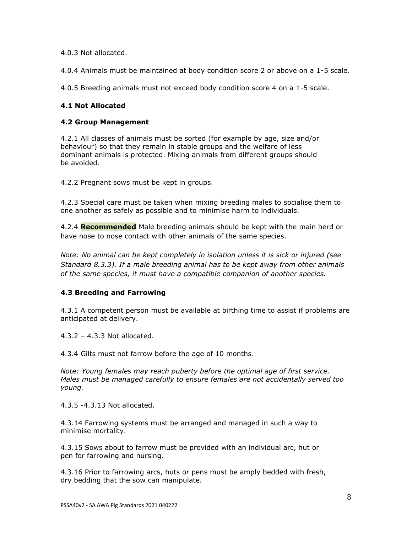4.0.3 Not allocated.

4.0.4 Animals must be maintained at body condition score 2 or above on a 1-5 scale.

4.0.5 Breeding animals must not exceed body condition score 4 on a 1-5 scale.

# **4.1 Not Allocated**

## **4.2 Group Management**

4.2.1 All classes of animals must be sorted (for example by age, size and/or behaviour) so that they remain in stable groups and the welfare of less dominant animals is protected. Mixing animals from different groups should be avoided.

4.2.2 Pregnant sows must be kept in groups.

4.2.3 Special care must be taken when mixing breeding males to socialise them to one another as safely as possible and to minimise harm to individuals.

4.2.4 **Recommended** Male breeding animals should be kept with the main herd or have nose to nose contact with other animals of the same species.

*Note: No animal can be kept completely in isolation unless it is sick or injured (see Standard 8.3.3). If a male breeding animal has to be kept away from other animals of the same species, it must have a compatible companion of another species.* 

# **4.3 Breeding and Farrowing**

4.3.1 A competent person must be available at birthing time to assist if problems are anticipated at delivery.

4.3.2 – 4.3.3 Not allocated.

4.3.4 Gilts must not farrow before the age of 10 months.

*Note: Young females may reach puberty before the optimal age of first service. Males must be managed carefully to ensure females are not accidentally served too young.* 

4.3.5 -4.3.13 Not allocated.

4.3.14 Farrowing systems must be arranged and managed in such a way to minimise mortality.

4.3.15 Sows about to farrow must be provided with an individual arc, hut or pen for farrowing and nursing.

4.3.16 Prior to farrowing arcs, huts or pens must be amply bedded with fresh, dry bedding that the sow can manipulate.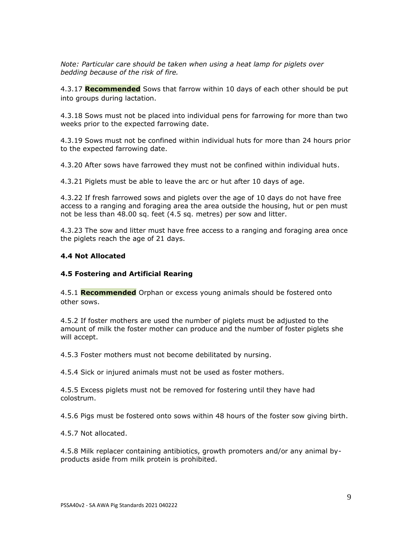*Note: Particular care should be taken when using a heat lamp for piglets over bedding because of the risk of fire.*

4.3.17 **Recommended** Sows that farrow within 10 days of each other should be put into groups during lactation.

4.3.18 Sows must not be placed into individual pens for farrowing for more than two weeks prior to the expected farrowing date.

4.3.19 Sows must not be confined within individual huts for more than 24 hours prior to the expected farrowing date.

4.3.20 After sows have farrowed they must not be confined within individual huts.

4.3.21 Piglets must be able to leave the arc or hut after 10 days of age.

4.3.22 If fresh farrowed sows and piglets over the age of 10 days do not have free access to a ranging and foraging area the area outside the housing, hut or pen must not be less than 48.00 sq. feet (4.5 sq. metres) per sow and litter.

4.3.23 The sow and litter must have free access to a ranging and foraging area once the piglets reach the age of 21 days.

#### **4.4 Not Allocated**

#### **4.5 Fostering and Artificial Rearing**

4.5.1 **Recommended** Orphan or excess young animals should be fostered onto other sows.

4.5.2 If foster mothers are used the number of piglets must be adjusted to the amount of milk the foster mother can produce and the number of foster piglets she will accept.

4.5.3 Foster mothers must not become debilitated by nursing.

4.5.4 Sick or injured animals must not be used as foster mothers.

4.5.5 Excess piglets must not be removed for fostering until they have had colostrum.

4.5.6 Pigs must be fostered onto sows within 48 hours of the foster sow giving birth.

4.5.7 Not allocated.

4.5.8 Milk replacer containing antibiotics, growth promoters and/or any animal byproducts aside from milk protein is prohibited.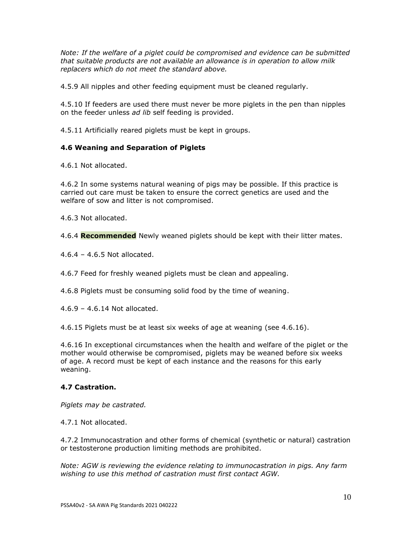*Note: If the welfare of a piglet could be compromised and evidence can be submitted that suitable products are not available an allowance is in operation to allow milk replacers which do not meet the standard above.*

4.5.9 All nipples and other feeding equipment must be cleaned regularly.

4.5.10 If feeders are used there must never be more piglets in the pen than nipples on the feeder unless *ad lib* self feeding is provided.

4.5.11 Artificially reared piglets must be kept in groups.

# **4.6 Weaning and Separation of Piglets**

4.6.1 Not allocated.

4.6.2 In some systems natural weaning of pigs may be possible. If this practice is carried out care must be taken to ensure the correct genetics are used and the welfare of sow and litter is not compromised.

4.6.3 Not allocated.

4.6.4 **Recommended** Newly weaned piglets should be kept with their litter mates.

4.6.4 – 4.6.5 Not allocated.

4.6.7 Feed for freshly weaned piglets must be clean and appealing.

4.6.8 Piglets must be consuming solid food by the time of weaning.

4.6.9 – 4.6.14 Not allocated.

4.6.15 Piglets must be at least six weeks of age at weaning (see 4.6.16).

4.6.16 In exceptional circumstances when the health and welfare of the piglet or the mother would otherwise be compromised, piglets may be weaned before six weeks of age. A record must be kept of each instance and the reasons for this early weaning.

# **4.7 Castration.**

*Piglets may be castrated.* 

4.7.1 Not allocated.

4.7.2 Immunocastration and other forms of chemical (synthetic or natural) castration or testosterone production limiting methods are prohibited.

*Note: AGW is reviewing the evidence relating to immunocastration in pigs. Any farm wishing to use this method of castration must first contact AGW.*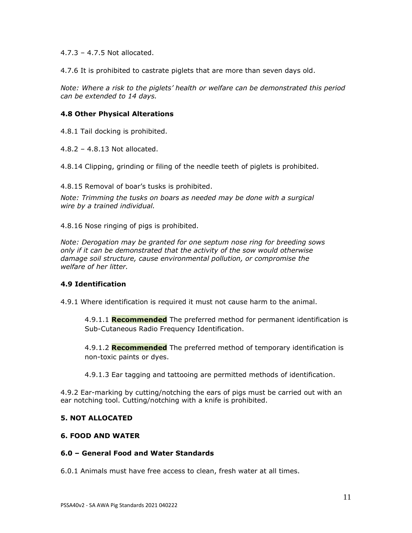4.7.3 – 4.7.5 Not allocated.

4.7.6 It is prohibited to castrate piglets that are more than seven days old.

*Note: Where a risk to the piglets' health or welfare can be demonstrated this period can be extended to 14 days.* 

#### **4.8 Other Physical Alterations**

4.8.1 Tail docking is prohibited.

4.8.2 – 4.8.13 Not allocated.

4.8.14 Clipping, grinding or filing of the needle teeth of piglets is prohibited.

4.8.15 Removal of boar's tusks is prohibited.

*Note: Trimming the tusks on boars as needed may be done with a surgical wire by a trained individual.*

4.8.16 Nose ringing of pigs is prohibited.

*Note: Derogation may be granted for one septum nose ring for breeding sows only if it can be demonstrated that the activity of the sow would otherwise damage soil structure, cause environmental pollution, or compromise the welfare of her litter.*

#### **4.9 Identification**

4.9.1 Where identification is required it must not cause harm to the animal.

4.9.1.1 **Recommended** The preferred method for permanent identification is Sub-Cutaneous Radio Frequency Identification.

4.9.1.2 **Recommended** The preferred method of temporary identification is non-toxic paints or dyes.

4.9.1.3 Ear tagging and tattooing are permitted methods of identification.

4.9.2 Ear-marking by cutting/notching the ears of pigs must be carried out with an ear notching tool. Cutting/notching with a knife is prohibited.

### **5. NOT ALLOCATED**

#### **6. FOOD AND WATER**

#### **6.0 – General Food and Water Standards**

6.0.1 Animals must have free access to clean, fresh water at all times.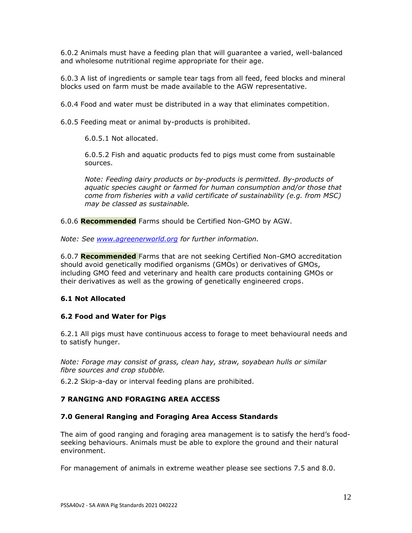6.0.2 Animals must have a feeding plan that will guarantee a varied, well-balanced and wholesome nutritional regime appropriate for their age.

6.0.3 A list of ingredients or sample tear tags from all feed, feed blocks and mineral blocks used on farm must be made available to the AGW representative.

6.0.4 Food and water must be distributed in a way that eliminates competition.

6.0.5 Feeding meat or animal by-products is prohibited.

6.0.5.1 Not allocated.

6.0.5.2 Fish and aquatic products fed to pigs must come from sustainable sources.

*Note: Feeding dairy products or by-products is permitted. By-products of aquatic species caught or farmed for human consumption and/or those that come from fisheries with a valid certificate of sustainability (e.g. from MSC) may be classed as sustainable.*

6.0.6 **Recommended** Farms should be Certified Non-GMO by AGW.

*Note: See [www.agreenerworld.org](http://www.agreenerworld.org/) for further information.*

6.0.7 **Recommended** Farms that are not seeking Certified Non-GMO accreditation should avoid genetically modified organisms (GMOs) or derivatives of GMOs, including GMO feed and veterinary and health care products containing GMOs or their derivatives as well as the growing of genetically engineered crops.

### **6.1 Not Allocated**

# **6.2 Food and Water for Pigs**

6.2.1 All pigs must have continuous access to forage to meet behavioural needs and to satisfy hunger.

*Note: Forage may consist of grass, clean hay, straw, soyabean hulls or similar fibre sources and crop stubble.*

6.2.2 Skip-a-day or interval feeding plans are prohibited.

## **7 RANGING AND FORAGING AREA ACCESS**

### **7.0 General Ranging and Foraging Area Access Standards**

The aim of good ranging and foraging area management is to satisfy the herd's foodseeking behaviours. Animals must be able to explore the ground and their natural environment.

For management of animals in extreme weather please see sections 7.5 and 8.0.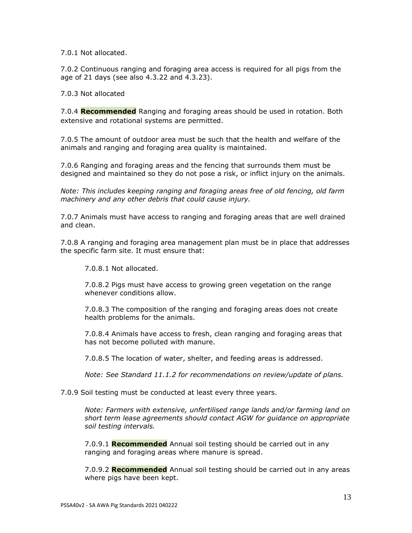7.0.1 Not allocated.

7.0.2 Continuous ranging and foraging area access is required for all pigs from the age of 21 days (see also 4.3.22 and 4.3.23).

7.0.3 Not allocated

7.0.4 **Recommended** Ranging and foraging areas should be used in rotation. Both extensive and rotational systems are permitted.

7.0.5 The amount of outdoor area must be such that the health and welfare of the animals and ranging and foraging area quality is maintained.

7.0.6 Ranging and foraging areas and the fencing that surrounds them must be designed and maintained so they do not pose a risk, or inflict injury on the animals.

*Note: This includes keeping ranging and foraging areas free of old fencing, old farm machinery and any other debris that could cause injury.* 

7.0.7 Animals must have access to ranging and foraging areas that are well drained and clean.

7.0.8 A ranging and foraging area management plan must be in place that addresses the specific farm site. It must ensure that:

7.0.8.1 Not allocated.

7.0.8.2 Pigs must have access to growing green vegetation on the range whenever conditions allow.

7.0.8.3 The composition of the ranging and foraging areas does not create health problems for the animals.

7.0.8.4 Animals have access to fresh, clean ranging and foraging areas that has not become polluted with manure.

7.0.8.5 The location of water, shelter, and feeding areas is addressed.

*Note: See Standard 11.1.2 for recommendations on review/update of plans.*

7.0.9 Soil testing must be conducted at least every three years.

*Note: Farmers with extensive, unfertilised range lands and/or farming land on short term lease agreements should contact AGW for guidance on appropriate soil testing intervals.* 

7.0.9.1 **Recommended** Annual soil testing should be carried out in any ranging and foraging areas where manure is spread.

7.0.9.2 **Recommended** Annual soil testing should be carried out in any areas where pigs have been kept.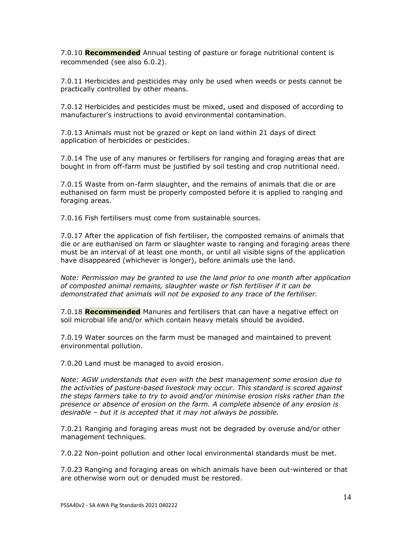7.0.10 **Recommended** Annual testing of pasture or forage nutritional content is recommended (see also 6.0.2).

7.0.11 Herbicides and pesticides may only be used when weeds or pests cannot be practically controlled by other means.

7.0.12 Herbicides and pesticides must be mixed, used and disposed of according to manufacturer's instructions to avoid environmental contamination.

7.0.13 Animals must not be grazed or kept on land within 21 days of direct application of herbicides or pesticides.

7.0.14 The use of any manures or fertilisers for ranging and foraging areas that are bought in from off-farm must be justified by soil testing and crop nutritional need.

7.0.15 Waste from on-farm slaughter, and the remains of animals that die or are euthanised on farm must be properly composted before it is applied to ranging and foraging areas.

7.0.16 Fish fertilisers must come from sustainable sources.

7.0.17 After the application of fish fertiliser, the composted remains of animals that die or are euthanised on farm or slaughter waste to ranging and foraging areas there must be an interval of at least one month, or until all visible signs of the application have disappeared (whichever is longer), before animals use the land.

*Note: Permission may be granted to use the land prior to one month after application of composted animal remains, slaughter waste or fish fertiliser if it can be demonstrated that animals will not be exposed to any trace of the fertiliser.*

7.0.18 **Recommended** Manures and fertilisers that can have a negative effect on soil microbial life and/or which contain heavy metals should be avoided.

7.0.19 Water sources on the farm must be managed and maintained to prevent environmental pollution.

7.0.20 Land must be managed to avoid erosion.

*Note: AGW understands that even with the best management some erosion due to the activities of pasture-based livestock may occur. This standard is scored against the steps farmers take to try to avoid and/or minimise erosion risks rather than the presence or absence of erosion on the farm. A complete absence of any erosion is desirable – but it is accepted that it may not always be possible.*

7.0.21 Ranging and foraging areas must not be degraded by overuse and/or other management techniques.

7.0.22 Non-point pollution and other local environmental standards must be met.

7.0.23 Ranging and foraging areas on which animals have been out-wintered or that are otherwise worn out or denuded must be restored.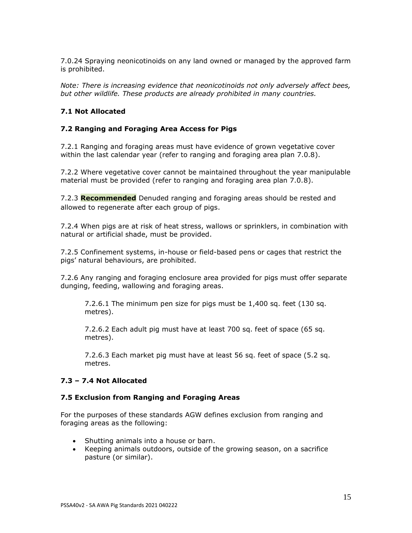7.0.24 Spraying neonicotinoids on any land owned or managed by the approved farm is prohibited.

*Note: There is increasing evidence that neonicotinoids not only adversely affect bees, but other wildlife. These products are already prohibited in many countries.*

## **7.1 Not Allocated**

### **7.2 Ranging and Foraging Area Access for Pigs**

7.2.1 Ranging and foraging areas must have evidence of grown vegetative cover within the last calendar year (refer to ranging and foraging area plan 7.0.8).

7.2.2 Where vegetative cover cannot be maintained throughout the year manipulable material must be provided (refer to ranging and foraging area plan 7.0.8).

7.2.3 **Recommended** Denuded ranging and foraging areas should be rested and allowed to regenerate after each group of pigs.

7.2.4 When pigs are at risk of heat stress, wallows or sprinklers, in combination with natural or artificial shade, must be provided.

7.2.5 Confinement systems, in-house or field-based pens or cages that restrict the pigs' natural behaviours, are prohibited.

7.2.6 Any ranging and foraging enclosure area provided for pigs must offer separate dunging, feeding, wallowing and foraging areas.

7.2.6.1 The minimum pen size for pigs must be 1,400 sq. feet (130 sq. metres).

7.2.6.2 Each adult pig must have at least 700 sq. feet of space (65 sq. metres).

7.2.6.3 Each market pig must have at least 56 sq. feet of space (5.2 sq. metres.

### **7.3 – 7.4 Not Allocated**

#### **7.5 Exclusion from Ranging and Foraging Areas**

For the purposes of these standards AGW defines exclusion from ranging and foraging areas as the following:

- Shutting animals into a house or barn.
- Keeping animals outdoors, outside of the growing season, on a sacrifice pasture (or similar).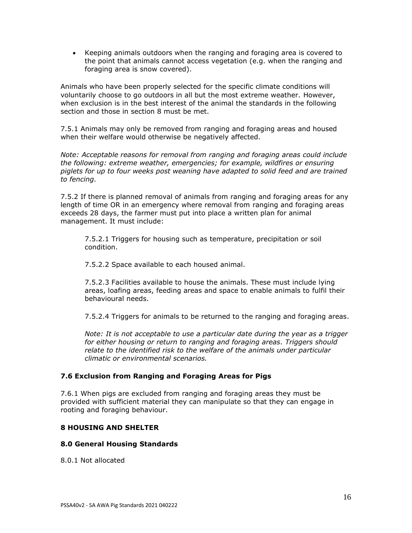• Keeping animals outdoors when the ranging and foraging area is covered to the point that animals cannot access vegetation (e.g. when the ranging and foraging area is snow covered).

Animals who have been properly selected for the specific climate conditions will voluntarily choose to go outdoors in all but the most extreme weather. However, when exclusion is in the best interest of the animal the standards in the following section and those in section 8 must be met.

7.5.1 Animals may only be removed from ranging and foraging areas and housed when their welfare would otherwise be negatively affected.

*Note: Acceptable reasons for removal from ranging and foraging areas could include the following: extreme weather, emergencies; for example, wildfires or ensuring piglets for up to four weeks post weaning have adapted to solid feed and are trained to fencing.*

7.5.2 If there is planned removal of animals from ranging and foraging areas for any length of time OR in an emergency where removal from ranging and foraging areas exceeds 28 days, the farmer must put into place a written plan for animal management. It must include:

7.5.2.1 Triggers for housing such as temperature, precipitation or soil condition.

7.5.2.2 Space available to each housed animal.

7.5.2.3 Facilities available to house the animals. These must include lying areas, loafing areas, feeding areas and space to enable animals to fulfil their behavioural needs.

7.5.2.4 Triggers for animals to be returned to the ranging and foraging areas.

*Note: It is not acceptable to use a particular date during the year as a trigger for either housing or return to ranging and foraging areas. Triggers should relate to the identified risk to the welfare of the animals under particular climatic or environmental scenarios.*

### **7.6 Exclusion from Ranging and Foraging Areas for Pigs**

7.6.1 When pigs are excluded from ranging and foraging areas they must be provided with sufficient material they can manipulate so that they can engage in rooting and foraging behaviour.

### **8 HOUSING AND SHELTER**

#### **8.0 General Housing Standards**

8.0.1 Not allocated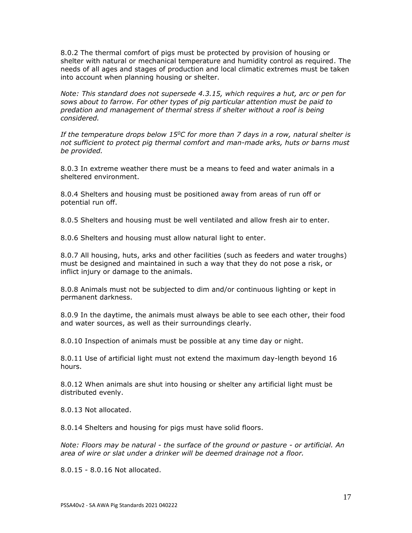8.0.2 The thermal comfort of pigs must be protected by provision of housing or shelter with natural or mechanical temperature and humidity control as required. The needs of all ages and stages of production and local climatic extremes must be taken into account when planning housing or shelter.

*Note: This standard does not supersede 4.3.15, which requires a hut, arc or pen for sows about to farrow. For other types of pig particular attention must be paid to predation and management of thermal stress if shelter without a roof is being considered.*

*If the temperature drops below 15<sup>0</sup>C for more than 7 days in a row, natural shelter is not sufficient to protect pig thermal comfort and man-made arks, huts or barns must be provided.*

8.0.3 In extreme weather there must be a means to feed and water animals in a sheltered environment.

8.0.4 Shelters and housing must be positioned away from areas of run off or potential run off.

8.0.5 Shelters and housing must be well ventilated and allow fresh air to enter.

8.0.6 Shelters and housing must allow natural light to enter.

8.0.7 All housing, huts, arks and other facilities (such as feeders and water troughs) must be designed and maintained in such a way that they do not pose a risk, or inflict injury or damage to the animals.

8.0.8 Animals must not be subjected to dim and/or continuous lighting or kept in permanent darkness.

8.0.9 In the daytime, the animals must always be able to see each other, their food and water sources, as well as their surroundings clearly.

8.0.10 Inspection of animals must be possible at any time day or night.

8.0.11 Use of artificial light must not extend the maximum day-length beyond 16 hours.

8.0.12 When animals are shut into housing or shelter any artificial light must be distributed evenly.

8.0.13 Not allocated.

8.0.14 Shelters and housing for pigs must have solid floors.

*Note: Floors may be natural - the surface of the ground or pasture - or artificial. An area of wire or slat under a drinker will be deemed drainage not a floor.* 

8.0.15 - 8.0.16 Not allocated.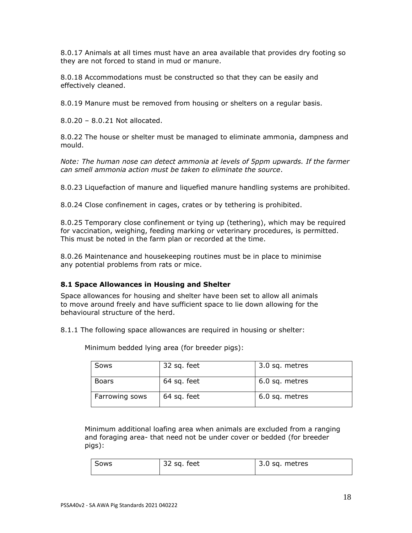8.0.17 Animals at all times must have an area available that provides dry footing so they are not forced to stand in mud or manure.

8.0.18 Accommodations must be constructed so that they can be easily and effectively cleaned.

8.0.19 Manure must be removed from housing or shelters on a regular basis.

8.0.20 – 8.0.21 Not allocated.

8.0.22 The house or shelter must be managed to eliminate ammonia, dampness and mould.

*Note: The human nose can detect ammonia at levels of 5ppm upwards. If the farmer can smell ammonia action must be taken to eliminate the source*.

8.0.23 Liquefaction of manure and liquefied manure handling systems are prohibited.

8.0.24 Close confinement in cages, crates or by tethering is prohibited.

8.0.25 Temporary close confinement or tying up (tethering), which may be required for vaccination, weighing, feeding marking or veterinary procedures, is permitted. This must be noted in the farm plan or recorded at the time.

8.0.26 Maintenance and housekeeping routines must be in place to minimise any potential problems from rats or mice.

### **8.1 Space Allowances in Housing and Shelter**

Space allowances for housing and shelter have been set to allow all animals to move around freely and have sufficient space to lie down allowing for the behavioural structure of the herd.

8.1.1 The following space allowances are required in housing or shelter:

| <b>Sows</b>    | 32 sq. feet | 3.0 sq. metres |
|----------------|-------------|----------------|
| <b>Boars</b>   | 64 sq. feet | 6.0 sq. metres |
| Farrowing sows | 64 sq. feet | 6.0 sq. metres |

Minimum bedded lying area (for breeder pigs):

Minimum additional loafing area when animals are excluded from a ranging and foraging area- that need not be under cover or bedded (for breeder pigs):

| Sows | 32 sq. feet | 3.0 sq. metres |
|------|-------------|----------------|
|      |             |                |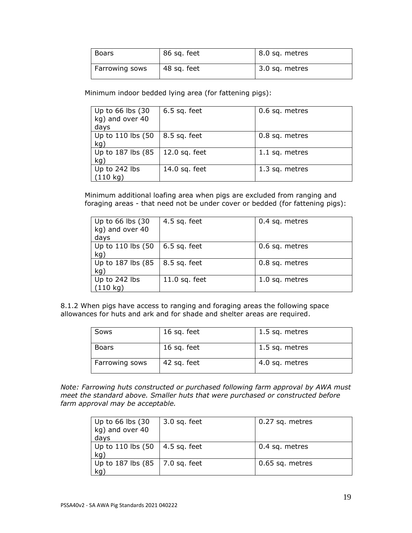| <b>Boars</b>   | 86 sq. feet | 8.0 sq. metres |
|----------------|-------------|----------------|
| Farrowing sows | 48 sq. feet | 3.0 sq. metres |

Minimum indoor bedded lying area (for fattening pigs):

| Up to 66 lbs (30<br>kg) and over 40<br>days | $6.5$ sq. feet  | 0.6 sq. metres |
|---------------------------------------------|-----------------|----------------|
| Up to 110 lbs (50<br>kg)                    | 8.5 sq. feet    | 0.8 sq. metres |
| Up to 187 lbs (85<br>kq                     | $12.0$ sq. feet | 1.1 sq. metres |
| Up to 242 lbs<br>$(110 \text{ kg})$         | 14.0 sq. feet   | 1.3 sq. metres |

Minimum additional loafing area when pigs are excluded from ranging and foraging areas - that need not be under cover or bedded (for fattening pigs):

| Up to 66 lbs (30<br>kg) and over 40<br>days | 4.5 sq. feet    | 0.4 sq. metres |
|---------------------------------------------|-----------------|----------------|
| Up to 110 lbs (50<br>kg)                    | $6.5$ sq. feet  | 0.6 sq. metres |
| Up to 187 lbs (85<br>kg)                    | 8.5 sq. feet    | 0.8 sq. metres |
| Up to 242 lbs<br>$(110 \text{ kg})$         | $11.0$ sq. feet | 1.0 sq. metres |

8.1.2 When pigs have access to ranging and foraging areas the following space allowances for huts and ark and for shade and shelter areas are required.

| Sows           | 16 sq. feet | 1.5 sq. metres |
|----------------|-------------|----------------|
| <b>Boars</b>   | 16 sq. feet | 1.5 sq. metres |
| Farrowing sows | 42 sq. feet | 4.0 sq. metres |

*Note: Farrowing huts constructed or purchased following farm approval by AWA must meet the standard above. Smaller huts that were purchased or constructed before farm approval may be acceptable.*

| Up to $66$ lbs $(30)$<br>kg) and over 40<br>days     | $3.0$ sq. feet | 0.27 sq. metres |
|------------------------------------------------------|----------------|-----------------|
| Up to 110 lbs $(50 \mid 4.5 \text{ sq. feet})$<br>kq |                | 0.4 sq. metres  |
| Up to 187 lbs $(85 \mid 7.0 \text{ sq. feet})$<br>kg |                | 0.65 sq. metres |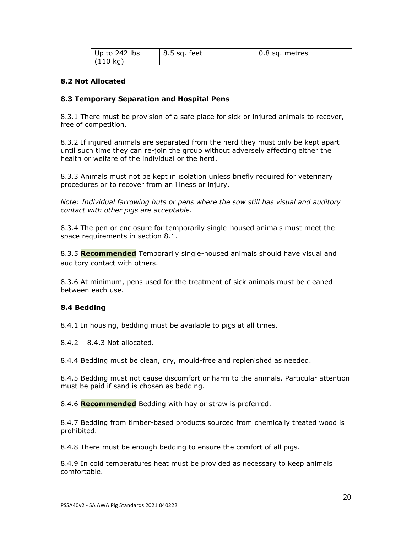| $ $ Up to 242 lbs  | 8.5 sq. feet | $\vert$ 0.8 sq. metres |
|--------------------|--------------|------------------------|
| $(110 \text{ kg})$ |              |                        |

### **8.2 Not Allocated**

### **8.3 Temporary Separation and Hospital Pens**

8.3.1 There must be provision of a safe place for sick or injured animals to recover, free of competition.

8.3.2 If injured animals are separated from the herd they must only be kept apart until such time they can re-join the group without adversely affecting either the health or welfare of the individual or the herd.

8.3.3 Animals must not be kept in isolation unless briefly required for veterinary procedures or to recover from an illness or injury.

*Note: Individual farrowing huts or pens where the sow still has visual and auditory contact with other pigs are acceptable.*

8.3.4 The pen or enclosure for temporarily single-housed animals must meet the space requirements in section 8.1.

8.3.5 **Recommended** Temporarily single-housed animals should have visual and auditory contact with others.

8.3.6 At minimum, pens used for the treatment of sick animals must be cleaned between each use.

# **8.4 Bedding**

8.4.1 In housing, bedding must be available to pigs at all times.

8.4.2 – 8.4.3 Not allocated.

8.4.4 Bedding must be clean, dry, mould-free and replenished as needed.

8.4.5 Bedding must not cause discomfort or harm to the animals. Particular attention must be paid if sand is chosen as bedding.

8.4.6 **Recommended** Bedding with hay or straw is preferred.

8.4.7 Bedding from timber-based products sourced from chemically treated wood is prohibited.

8.4.8 There must be enough bedding to ensure the comfort of all pigs.

8.4.9 In cold temperatures heat must be provided as necessary to keep animals comfortable.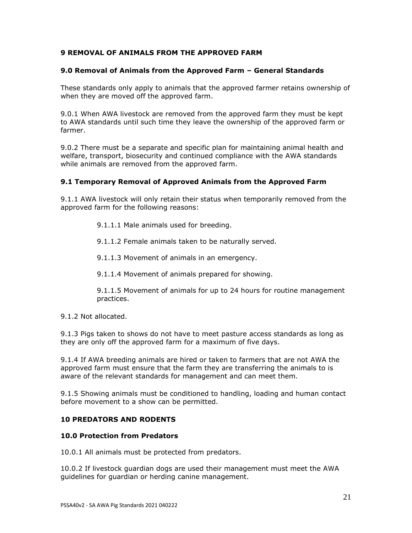## **9 REMOVAL OF ANIMALS FROM THE APPROVED FARM**

#### **9.0 Removal of Animals from the Approved Farm – General Standards**

These standards only apply to animals that the approved farmer retains ownership of when they are moved off the approved farm.

9.0.1 When AWA livestock are removed from the approved farm they must be kept to AWA standards until such time they leave the ownership of the approved farm or farmer.

9.0.2 There must be a separate and specific plan for maintaining animal health and welfare, transport, biosecurity and continued compliance with the AWA standards while animals are removed from the approved farm.

### **9.1 Temporary Removal of Approved Animals from the Approved Farm**

9.1.1 AWA livestock will only retain their status when temporarily removed from the approved farm for the following reasons:

9.1.1.1 Male animals used for breeding.

9.1.1.2 Female animals taken to be naturally served.

9.1.1.3 Movement of animals in an emergency.

9.1.1.4 Movement of animals prepared for showing.

9.1.1.5 Movement of animals for up to 24 hours for routine management practices.

9.1.2 Not allocated.

9.1.3 Pigs taken to shows do not have to meet pasture access standards as long as they are only off the approved farm for a maximum of five days.

9.1.4 If AWA breeding animals are hired or taken to farmers that are not AWA the approved farm must ensure that the farm they are transferring the animals to is aware of the relevant standards for management and can meet them.

9.1.5 Showing animals must be conditioned to handling, loading and human contact before movement to a show can be permitted.

# **10 PREDATORS AND RODENTS**

#### **10.0 Protection from Predators**

10.0.1 All animals must be protected from predators.

10.0.2 If livestock guardian dogs are used their management must meet the AWA guidelines for guardian or herding canine management.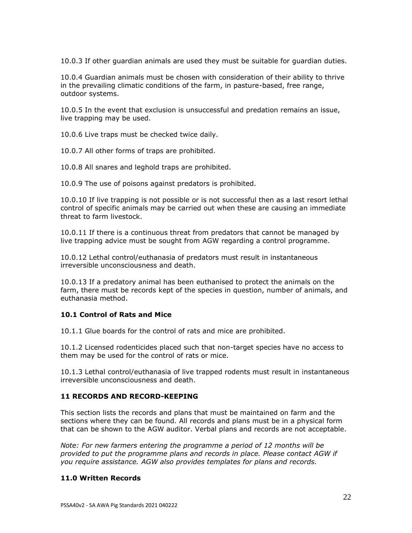10.0.3 If other guardian animals are used they must be suitable for guardian duties.

10.0.4 Guardian animals must be chosen with consideration of their ability to thrive in the prevailing climatic conditions of the farm, in pasture-based, free range, outdoor systems.

10.0.5 In the event that exclusion is unsuccessful and predation remains an issue, live trapping may be used.

10.0.6 Live traps must be checked twice daily.

10.0.7 All other forms of traps are prohibited.

10.0.8 All snares and leghold traps are prohibited.

10.0.9 The use of poisons against predators is prohibited.

10.0.10 If live trapping is not possible or is not successful then as a last resort lethal control of specific animals may be carried out when these are causing an immediate threat to farm livestock.

10.0.11 If there is a continuous threat from predators that cannot be managed by live trapping advice must be sought from AGW regarding a control programme.

10.0.12 Lethal control/euthanasia of predators must result in instantaneous irreversible unconsciousness and death.

10.0.13 If a predatory animal has been euthanised to protect the animals on the farm, there must be records kept of the species in question, number of animals, and euthanasia method.

### **10.1 Control of Rats and Mice**

10.1.1 Glue boards for the control of rats and mice are prohibited.

10.1.2 Licensed rodenticides placed such that non-target species have no access to them may be used for the control of rats or mice.

10.1.3 Lethal control/euthanasia of live trapped rodents must result in instantaneous irreversible unconsciousness and death.

### **11 RECORDS AND RECORD-KEEPING**

This section lists the records and plans that must be maintained on farm and the sections where they can be found. All records and plans must be in a physical form that can be shown to the AGW auditor. Verbal plans and records are not acceptable.

*Note: For new farmers entering the programme a period of 12 months will be provided to put the programme plans and records in place. Please contact AGW if you require assistance. AGW also provides templates for plans and records.*

### **11.0 Written Records**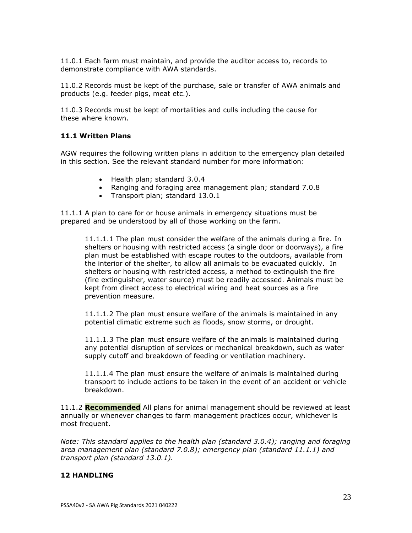11.0.1 Each farm must maintain, and provide the auditor access to, records to demonstrate compliance with AWA standards.

11.0.2 Records must be kept of the purchase, sale or transfer of AWA animals and products (e.g. feeder pigs, meat etc.).

11.0.3 Records must be kept of mortalities and culls including the cause for these where known.

## **11.1 Written Plans**

AGW requires the following written plans in addition to the emergency plan detailed in this section. See the relevant standard number for more information:

- Health plan; standard 3.0.4
- Ranging and foraging area management plan; standard 7.0.8
- Transport plan; standard 13.0.1

11.1.1 A plan to care for or house animals in emergency situations must be prepared and be understood by all of those working on the farm.

11.1.1.1 The plan must consider the welfare of the animals during a fire. In shelters or housing with restricted access (a single door or doorways), a fire plan must be established with escape routes to the outdoors, available from the interior of the shelter, to allow all animals to be evacuated quickly. In shelters or housing with restricted access, a method to extinguish the fire (fire extinguisher, water source) must be readily accessed. Animals must be kept from direct access to electrical wiring and heat sources as a fire prevention measure.

11.1.1.2 The plan must ensure welfare of the animals is maintained in any potential climatic extreme such as floods, snow storms, or drought.

11.1.1.3 The plan must ensure welfare of the animals is maintained during any potential disruption of services or mechanical breakdown, such as water supply cutoff and breakdown of feeding or ventilation machinery.

11.1.1.4 The plan must ensure the welfare of animals is maintained during transport to include actions to be taken in the event of an accident or vehicle breakdown.

11.1.2 **Recommended** All plans for animal management should be reviewed at least annually or whenever changes to farm management practices occur, whichever is most frequent.

*Note: This standard applies to the health plan (standard 3.0.4); ranging and foraging area management plan (standard 7.0.8); emergency plan (standard 11.1.1) and transport plan (standard 13.0.1).*

#### **12 HANDLING**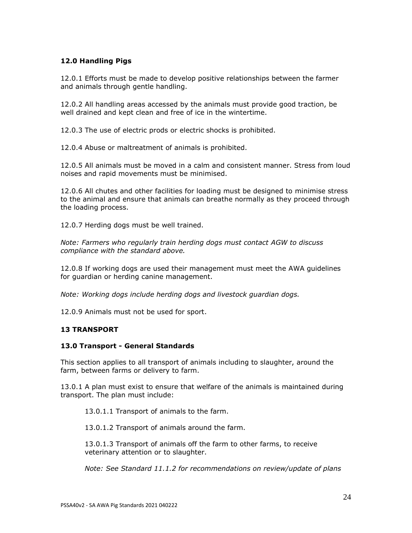# **12.0 Handling Pigs**

12.0.1 Efforts must be made to develop positive relationships between the farmer and animals through gentle handling.

12.0.2 All handling areas accessed by the animals must provide good traction, be well drained and kept clean and free of ice in the wintertime.

12.0.3 The use of electric prods or electric shocks is prohibited.

12.0.4 Abuse or maltreatment of animals is prohibited.

12.0.5 All animals must be moved in a calm and consistent manner. Stress from loud noises and rapid movements must be minimised.

12.0.6 All chutes and other facilities for loading must be designed to minimise stress to the animal and ensure that animals can breathe normally as they proceed through the loading process.

12.0.7 Herding dogs must be well trained.

*Note: Farmers who regularly train herding dogs must contact AGW to discuss compliance with the standard above.*

12.0.8 If working dogs are used their management must meet the AWA guidelines for guardian or herding canine management.

*Note: Working dogs include herding dogs and livestock guardian dogs.*

12.0.9 Animals must not be used for sport.

### **13 TRANSPORT**

#### **13.0 Transport - General Standards**

This section applies to all transport of animals including to slaughter, around the farm, between farms or delivery to farm.

13.0.1 A plan must exist to ensure that welfare of the animals is maintained during transport. The plan must include:

13.0.1.1 Transport of animals to the farm.

13.0.1.2 Transport of animals around the farm.

13.0.1.3 Transport of animals off the farm to other farms, to receive veterinary attention or to slaughter.

*Note: See Standard 11.1.2 for recommendations on review/update of plans*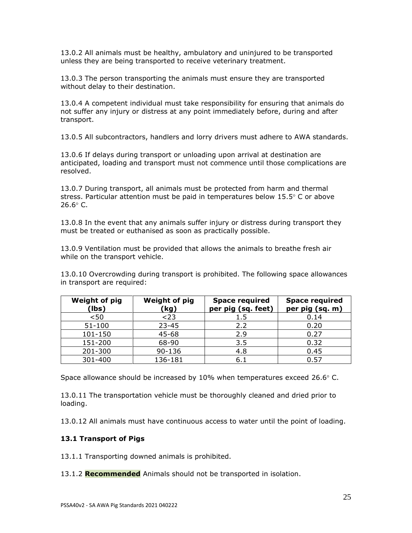13.0.2 All animals must be healthy, ambulatory and uninjured to be transported unless they are being transported to receive veterinary treatment.

13.0.3 The person transporting the animals must ensure they are transported without delay to their destination.

13.0.4 A competent individual must take responsibility for ensuring that animals do not suffer any injury or distress at any point immediately before, during and after transport.

13.0.5 All subcontractors, handlers and lorry drivers must adhere to AWA standards.

13.0.6 If delays during transport or unloading upon arrival at destination are anticipated, loading and transport must not commence until those complications are resolved.

13.0.7 During transport, all animals must be protected from harm and thermal stress. Particular attention must be paid in temperatures below  $15.5^{\circ}$  C or above  $26.6^{\circ}$  C.

13.0.8 In the event that any animals suffer injury or distress during transport they must be treated or euthanised as soon as practically possible.

13.0.9 Ventilation must be provided that allows the animals to breathe fresh air while on the transport vehicle.

13.0.10 Overcrowding during transport is prohibited. The following space allowances in transport are required:

| <b>Weight of pig</b><br>(lbs) | <b>Weight of pig</b><br>(kg) | <b>Space required</b><br>per pig (sq. feet) | <b>Space required</b><br>per pig (sq. m) |
|-------------------------------|------------------------------|---------------------------------------------|------------------------------------------|
| < 50                          | $<$ 23                       | 1.5                                         | 0.14                                     |
| $51 - 100$                    | $23 - 45$                    | 2.2                                         | 0.20                                     |
| 101-150                       | $45 - 68$                    | 2.9                                         | 0.27                                     |
| 151-200                       | 68-90                        | 3.5                                         | 0.32                                     |
| 201-300                       | $90 - 136$                   | 4.8                                         | 0.45                                     |
| 301-400                       | 136-181                      | 6.1                                         | 0.57                                     |

Space allowance should be increased by 10% when temperatures exceed 26.6 $\degree$  C.

13.0.11 The transportation vehicle must be thoroughly cleaned and dried prior to loading.

13.0.12 All animals must have continuous access to water until the point of loading.

# **13.1 Transport of Pigs**

13.1.1 Transporting downed animals is prohibited.

13.1.2 **Recommended** Animals should not be transported in isolation.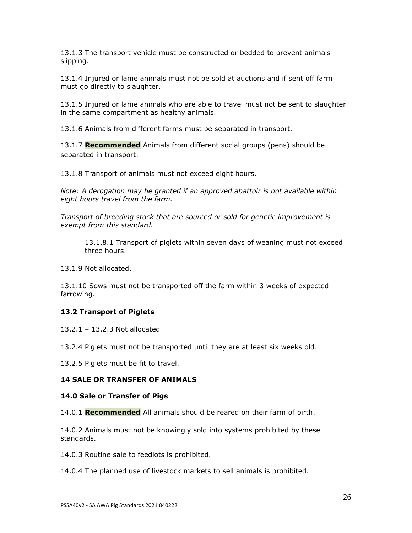13.1.3 The transport vehicle must be constructed or bedded to prevent animals slipping.

13.1.4 Injured or lame animals must not be sold at auctions and if sent off farm must go directly to slaughter.

13.1.5 Injured or lame animals who are able to travel must not be sent to slaughter in the same compartment as healthy animals.

13.1.6 Animals from different farms must be separated in transport.

13.1.7 **Recommended** Animals from different social groups (pens) should be separated in transport.

13.1.8 Transport of animals must not exceed eight hours.

*Note: A derogation may be granted if an approved abattoir is not available within eight hours travel from the farm.*

*Transport of breeding stock that are sourced or sold for genetic improvement is exempt from this standard.*

13.1.8.1 Transport of piglets within seven days of weaning must not exceed three hours.

13.1.9 Not allocated.

13.1.10 Sows must not be transported off the farm within 3 weeks of expected farrowing.

# **13.2 Transport of Piglets**

13.2.1 – 13.2.3 Not allocated

13.2.4 Piglets must not be transported until they are at least six weeks old.

13.2.5 Piglets must be fit to travel.

### **14 SALE OR TRANSFER OF ANIMALS**

### **14.0 Sale or Transfer of Pigs**

14.0.1 **Recommended** All animals should be reared on their farm of birth.

14.0.2 Animals must not be knowingly sold into systems prohibited by these standards.

14.0.3 Routine sale to feedlots is prohibited.

14.0.4 The planned use of livestock markets to sell animals is prohibited.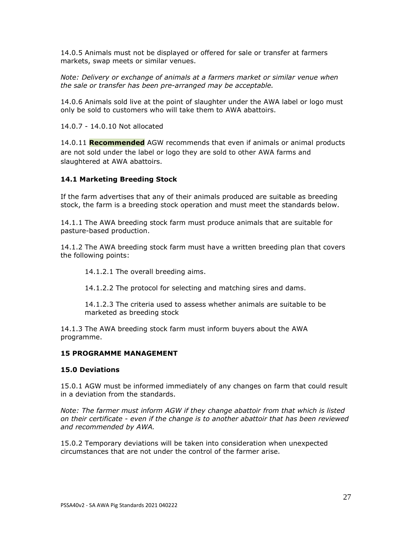14.0.5 Animals must not be displayed or offered for sale or transfer at farmers markets, swap meets or similar venues.

*Note: Delivery or exchange of animals at a farmers market or similar venue when the sale or transfer has been pre-arranged may be acceptable.* 

14.0.6 Animals sold live at the point of slaughter under the AWA label or logo must only be sold to customers who will take them to AWA abattoirs.

14.0.7 - 14.0.10 Not allocated

14.0.11 **Recommended** AGW recommends that even if animals or animal products are not sold under the label or logo they are sold to other AWA farms and slaughtered at AWA abattoirs.

## **14.1 Marketing Breeding Stock**

If the farm advertises that any of their animals produced are suitable as breeding stock, the farm is a breeding stock operation and must meet the standards below.

14.1.1 The AWA breeding stock farm must produce animals that are suitable for pasture-based production.

14.1.2 The AWA breeding stock farm must have a written breeding plan that covers the following points:

14.1.2.1 The overall breeding aims.

14.1.2.2 The protocol for selecting and matching sires and dams.

14.1.2.3 The criteria used to assess whether animals are suitable to be marketed as breeding stock

14.1.3 The AWA breeding stock farm must inform buyers about the AWA programme.

### **15 PROGRAMME MANAGEMENT**

### **15.0 Deviations**

15.0.1 AGW must be informed immediately of any changes on farm that could result in a deviation from the standards.

*Note: The farmer must inform AGW if they change abattoir from that which is listed on their certificate - even if the change is to another abattoir that has been reviewed and recommended by AWA.*

15.0.2 Temporary deviations will be taken into consideration when unexpected circumstances that are not under the control of the farmer arise.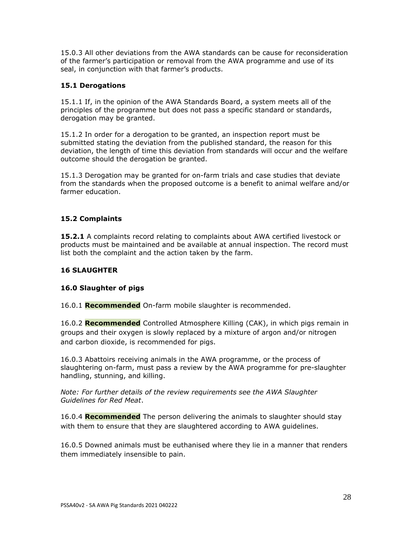15.0.3 All other deviations from the AWA standards can be cause for reconsideration of the farmer's participation or removal from the AWA programme and use of its seal, in conjunction with that farmer's products.

# **15.1 Derogations**

15.1.1 If, in the opinion of the AWA Standards Board, a system meets all of the principles of the programme but does not pass a specific standard or standards, derogation may be granted.

15.1.2 In order for a derogation to be granted, an inspection report must be submitted stating the deviation from the published standard, the reason for this deviation, the length of time this deviation from standards will occur and the welfare outcome should the derogation be granted.

15.1.3 Derogation may be granted for on-farm trials and case studies that deviate from the standards when the proposed outcome is a benefit to animal welfare and/or farmer education.

## **15.2 Complaints**

**15.2.1** A complaints record relating to complaints about AWA certified livestock or products must be maintained and be available at annual inspection. The record must list both the complaint and the action taken by the farm.

## **16 SLAUGHTER**

### **16.0 Slaughter of pigs**

16.0.1 **Recommended** On-farm mobile slaughter is recommended.

16.0.2 **Recommended** Controlled Atmosphere Killing (CAK), in which pigs remain in groups and their oxygen is slowly replaced by a mixture of argon and/or nitrogen and carbon dioxide, is recommended for pigs.

16.0.3 Abattoirs receiving animals in the AWA programme, or the process of slaughtering on-farm, must pass a review by the AWA programme for pre-slaughter handling, stunning, and killing.

*Note: For further details of the review requirements see the AWA Slaughter Guidelines for Red Meat*.

16.0.4 **Recommended** The person delivering the animals to slaughter should stay with them to ensure that they are slaughtered according to AWA guidelines.

16.0.5 Downed animals must be euthanised where they lie in a manner that renders them immediately insensible to pain.